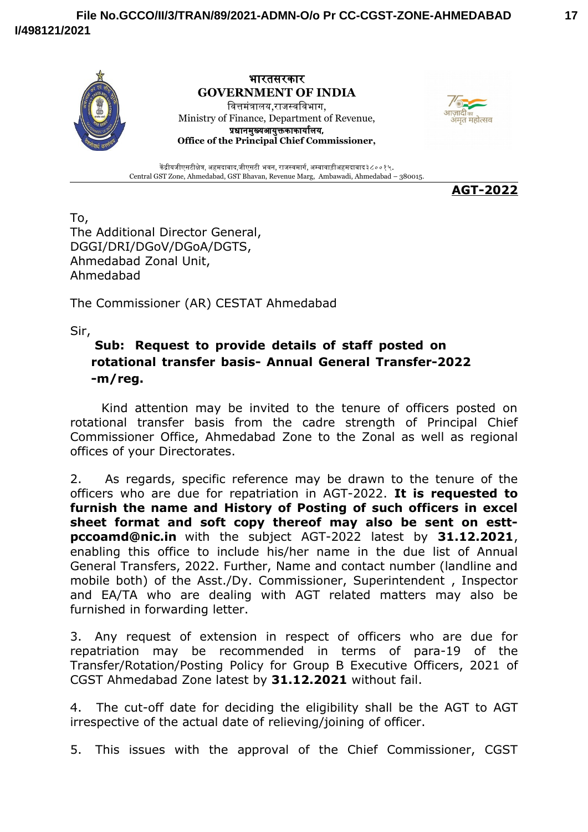



केंद्रीयजीएसटीक्षेत्र, अहमदाबाद,जीएसटी भवन, राजस्वमार्ग, अम्बावाड़ीअहमदाबाद३८००१५. Central GST Zone, Ahmedabad, GST Bhavan, Revenue Marg, Ambawadi, Ahmedabad – 380015.

**AGT-2022**

To, The Additional Director General, DGGI/DRI/DGoV/DGoA/DGTS, Ahmedabad Zonal Unit, Ahmedabad

The Commissioner (AR) CESTAT Ahmedabad

Sir,

## **Sub: Request to provide details of staff posted on rotational transfer basis- Annual General Transfer-2022 -m/reg.**

Kind attention may be invited to the tenure of officers posted on rotational transfer basis from the cadre strength of Principal Chief Commissioner Office, Ahmedabad Zone to the Zonal as well as regional offices of your Directorates.

2. As regards, specific reference may be drawn to the tenure of the officers who are due for repatriation in AGT-2022. **It is requested to furnish the name and History of Posting of such officers in excel sheet format and soft copy thereof may also be sent on esttpccoamd@nic.in** with the subject AGT-2022 latest by **31.12.2021**, enabling this office to include his/her name in the due list of Annual General Transfers, 2022. Further, Name and contact number (landline and mobile both) of the Asst./Dy. Commissioner, Superintendent , Inspector and EA/TA who are dealing with AGT related matters may also be furnished in forwarding letter.

3. Any request of extension in respect of officers who are due for repatriation may be recommended in terms of para-19 of the Transfer/Rotation/Posting Policy for Group B Executive Officers, 2021 of CGST Ahmedabad Zone latest by **31.12.2021** without fail.

4. The cut-off date for deciding the eligibility shall be the AGT to AGT irrespective of the actual date of relieving/joining of officer.

5. This issues with the approval of the Chief Commissioner, CGST